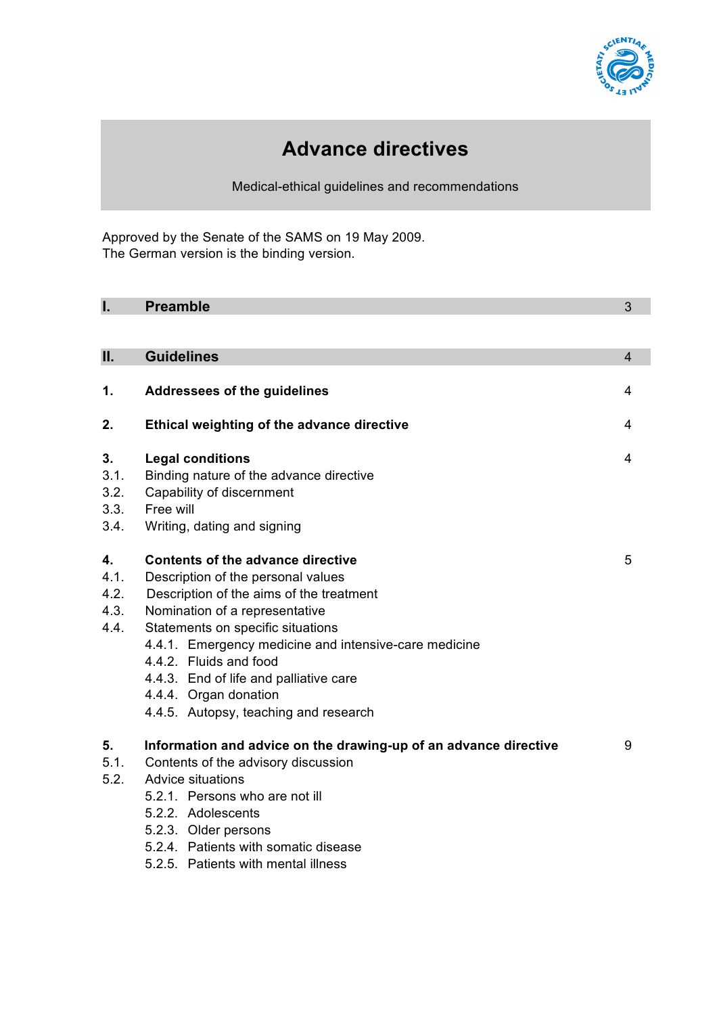

# **Advance directives**

Medical-ethical guidelines and recommendations

Approved by the Senate of the SAMS on 19 May 2009. The German version is the binding version.

| I.                                 | <b>Preamble</b>                                                                                                                                                                                                                                                                                                                                                                                       | 3              |
|------------------------------------|-------------------------------------------------------------------------------------------------------------------------------------------------------------------------------------------------------------------------------------------------------------------------------------------------------------------------------------------------------------------------------------------------------|----------------|
| Ш.                                 | <b>Guidelines</b>                                                                                                                                                                                                                                                                                                                                                                                     | $\overline{4}$ |
| 1.                                 | Addressees of the guidelines                                                                                                                                                                                                                                                                                                                                                                          | 4              |
| 2.                                 | Ethical weighting of the advance directive                                                                                                                                                                                                                                                                                                                                                            | 4              |
| 3.<br>3.1.<br>3.2.<br>3.3.<br>3.4. | <b>Legal conditions</b><br>4<br>Binding nature of the advance directive<br>Capability of discernment<br>Free will<br>Writing, dating and signing                                                                                                                                                                                                                                                      |                |
| 4.<br>4.1.<br>4.2.<br>4.3.<br>4.4. | <b>Contents of the advance directive</b><br>5<br>Description of the personal values<br>Description of the aims of the treatment<br>Nomination of a representative<br>Statements on specific situations<br>4.4.1. Emergency medicine and intensive-care medicine<br>4.4.2. Fluids and food<br>4.4.3. End of life and palliative care<br>4.4.4. Organ donation<br>4.4.5. Autopsy, teaching and research |                |
| 5.<br>5.1.<br>5.2.                 | Information and advice on the drawing-up of an advance directive<br>Contents of the advisory discussion<br><b>Advice situations</b><br>5.2.1. Persons who are not ill<br>5.2.2. Adolescents<br>5.2.3. Older persons<br>5.2.4. Patients with somatic disease<br>5.2.5. Patients with mental illness                                                                                                    | 9              |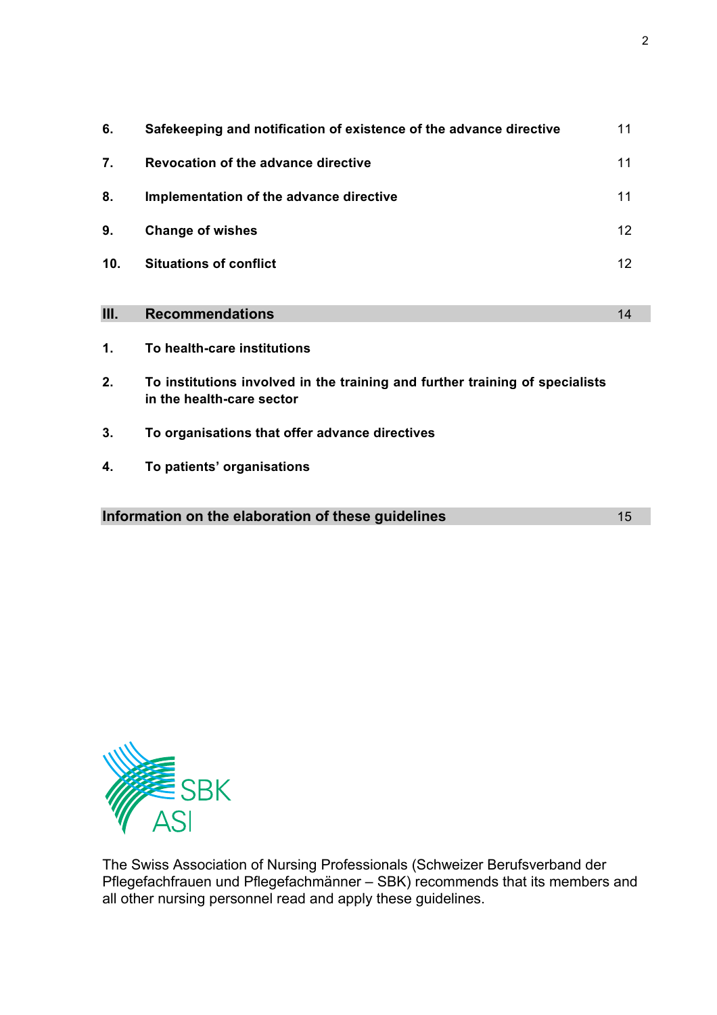| 6.   | Safekeeping and notification of existence of the advance directive                                        | 11 |
|------|-----------------------------------------------------------------------------------------------------------|----|
| 7.   | <b>Revocation of the advance directive</b>                                                                | 11 |
| 8.   | Implementation of the advance directive                                                                   | 11 |
| 9.   | <b>Change of wishes</b>                                                                                   | 12 |
| 10.  | <b>Situations of conflict</b>                                                                             | 12 |
|      |                                                                                                           |    |
| III. | <b>Recommendations</b>                                                                                    | 14 |
| 1.   | To health-care institutions                                                                               |    |
| 2.   | To institutions involved in the training and further training of specialists<br>in the health-care sector |    |
| 3.   | To organisations that offer advance directives                                                            |    |
| 4.   | To patients' organisations                                                                                |    |
|      |                                                                                                           |    |
|      | Information on the elaboration of these guidelines                                                        | 15 |



The Swiss Association of Nursing Professionals (Schweizer Berufsverband der Pflegefachfrauen und Pflegefachmänner – SBK) recommends that its members and all other nursing personnel read and apply these guidelines.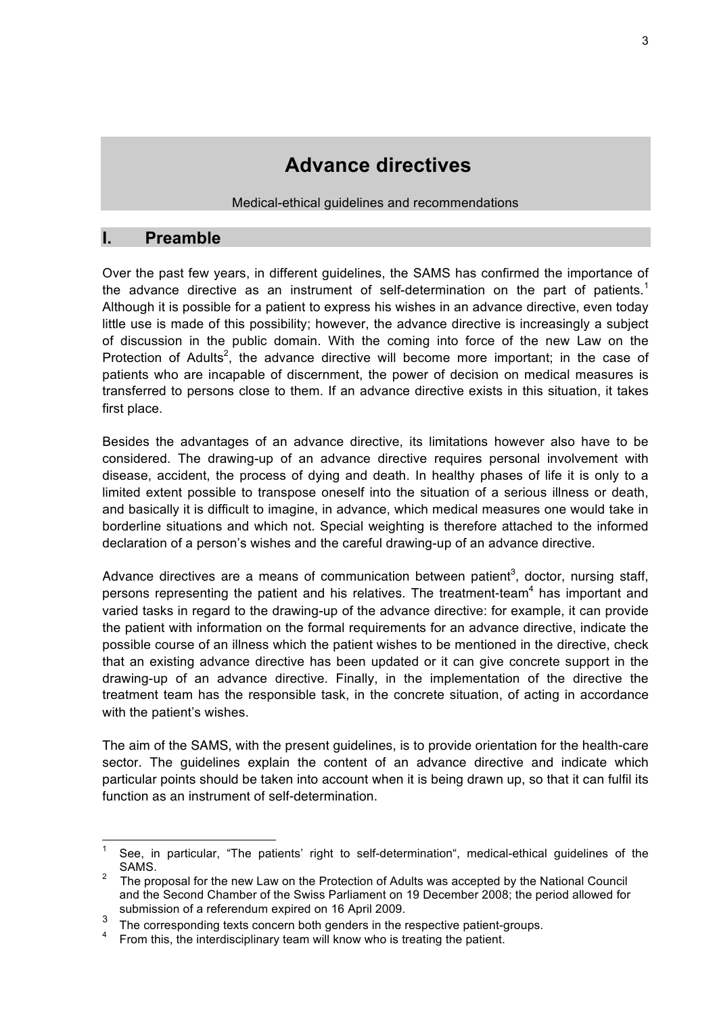# **Advance directives**

Medical-ethical guidelines and recommendations

# **I. Preamble**

Over the past few years, in different guidelines, the SAMS has confirmed the importance of the advance directive as an instrument of self-determination on the part of patients. $1$ Although it is possible for a patient to express his wishes in an advance directive, even today little use is made of this possibility; however, the advance directive is increasingly a subject of discussion in the public domain. With the coming into force of the new Law on the Protection of Adults<sup>2</sup>, the advance directive will become more important; in the case of patients who are incapable of discernment, the power of decision on medical measures is transferred to persons close to them. If an advance directive exists in this situation, it takes first place.

Besides the advantages of an advance directive, its limitations however also have to be considered. The drawing-up of an advance directive requires personal involvement with disease, accident, the process of dying and death. In healthy phases of life it is only to a limited extent possible to transpose oneself into the situation of a serious illness or death, and basically it is difficult to imagine, in advance, which medical measures one would take in borderline situations and which not. Special weighting is therefore attached to the informed declaration of a person's wishes and the careful drawing-up of an advance directive.

Advance directives are a means of communication between patient<sup>3</sup>, doctor, nursing staff, persons representing the patient and his relatives. The treatment-team<sup>4</sup> has important and varied tasks in regard to the drawing-up of the advance directive: for example, it can provide the patient with information on the formal requirements for an advance directive, indicate the possible course of an illness which the patient wishes to be mentioned in the directive, check that an existing advance directive has been updated or it can give concrete support in the drawing-up of an advance directive. Finally, in the implementation of the directive the treatment team has the responsible task, in the concrete situation, of acting in accordance with the patient's wishes.

The aim of the SAMS, with the present guidelines, is to provide orientation for the health-care sector. The guidelines explain the content of an advance directive and indicate which particular points should be taken into account when it is being drawn up, so that it can fulfil its function as an instrument of self-determination.

See, in particular, "The patients' right to self-determination", medical-ethical quidelines of the SAMS.

<sup>2</sup> The proposal for the new Law on the Protection of Adults was accepted by the National Council and the Second Chamber of the Swiss Parliament on 19 December 2008; the period allowed for submission of a referendum expired on 16 April 2009.

 $\frac{3}{4}$  The corresponding texts concern both genders in the respective patient-groups.

From this, the interdisciplinary team will know who is treating the patient.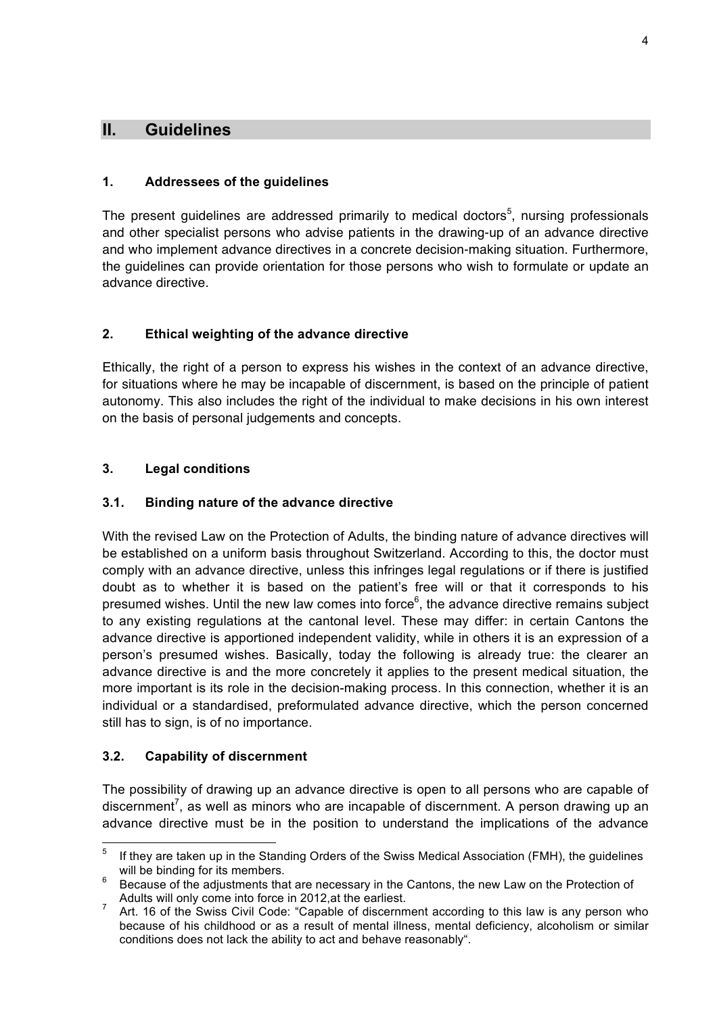# **II. Guidelines**

#### **1. Addressees of the guidelines**

The present guidelines are addressed primarily to medical doctors<sup>5</sup>, nursing professionals and other specialist persons who advise patients in the drawing-up of an advance directive and who implement advance directives in a concrete decision-making situation. Furthermore, the guidelines can provide orientation for those persons who wish to formulate or update an advance directive.

#### **2. Ethical weighting of the advance directive**

Ethically, the right of a person to express his wishes in the context of an advance directive, for situations where he may be incapable of discernment, is based on the principle of patient autonomy. This also includes the right of the individual to make decisions in his own interest on the basis of personal judgements and concepts.

#### **3. Legal conditions**

#### **3.1. Binding nature of the advance directive**

With the revised Law on the Protection of Adults, the binding nature of advance directives will be established on a uniform basis throughout Switzerland. According to this, the doctor must comply with an advance directive, unless this infringes legal regulations or if there is justified doubt as to whether it is based on the patient's free will or that it corresponds to his presumed wishes. Until the new law comes into force<sup>6</sup>, the advance directive remains subject to any existing regulations at the cantonal level. These may differ: in certain Cantons the advance directive is apportioned independent validity, while in others it is an expression of a person's presumed wishes. Basically, today the following is already true: the clearer an advance directive is and the more concretely it applies to the present medical situation, the more important is its role in the decision-making process. In this connection, whether it is an individual or a standardised, preformulated advance directive, which the person concerned still has to sign, is of no importance.

#### **3.2. Capability of discernment**

The possibility of drawing up an advance directive is open to all persons who are capable of discernment<sup>7</sup>, as well as minors who are incapable of discernment. A person drawing up an advance directive must be in the position to understand the implications of the advance

 $5$  If they are taken up in the Standing Orders of the Swiss Medical Association (FMH), the guidelines

will be binding for its members.<br>Because of the adjustments that are necessary in the Cantons, the new Law on the Protection of Adults will only come into force in 2012, at the earliest.

Art. 16 of the Swiss Civil Code: "Capable of discernment according to this law is any person who because of his childhood or as a result of mental illness, mental deficiency, alcoholism or similar conditions does not lack the ability to act and behave reasonably".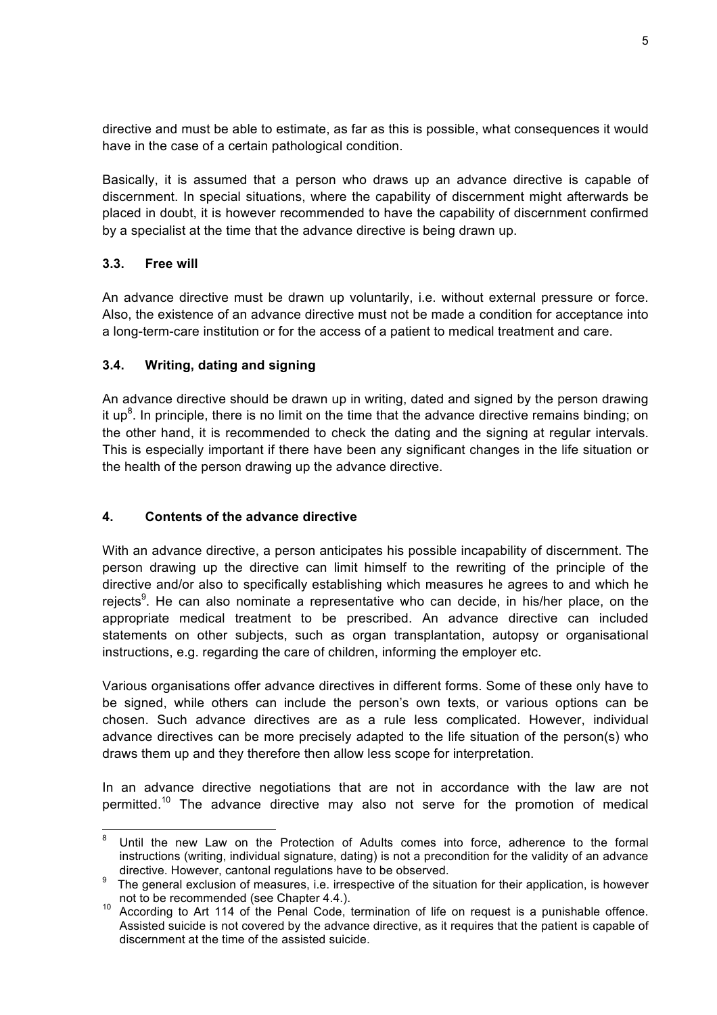directive and must be able to estimate, as far as this is possible, what consequences it would have in the case of a certain pathological condition.

Basically, it is assumed that a person who draws up an advance directive is capable of discernment. In special situations, where the capability of discernment might afterwards be placed in doubt, it is however recommended to have the capability of discernment confirmed by a specialist at the time that the advance directive is being drawn up.

#### **3.3. Free will**

An advance directive must be drawn up voluntarily, i.e. without external pressure or force. Also, the existence of an advance directive must not be made a condition for acceptance into a long-term-care institution or for the access of a patient to medical treatment and care.

#### **3.4. Writing, dating and signing**

An advance directive should be drawn up in writing, dated and signed by the person drawing it up<sup>8</sup>. In principle, there is no limit on the time that the advance directive remains binding; on the other hand, it is recommended to check the dating and the signing at regular intervals. This is especially important if there have been any significant changes in the life situation or the health of the person drawing up the advance directive.

#### **4. Contents of the advance directive**

With an advance directive, a person anticipates his possible incapability of discernment. The person drawing up the directive can limit himself to the rewriting of the principle of the directive and/or also to specifically establishing which measures he agrees to and which he rejects<sup>9</sup>. He can also nominate a representative who can decide, in his/her place, on the appropriate medical treatment to be prescribed. An advance directive can included statements on other subjects, such as organ transplantation, autopsy or organisational instructions, e.g. regarding the care of children, informing the employer etc.

Various organisations offer advance directives in different forms. Some of these only have to be signed, while others can include the person's own texts, or various options can be chosen. Such advance directives are as a rule less complicated. However, individual advance directives can be more precisely adapted to the life situation of the person(s) who draws them up and they therefore then allow less scope for interpretation.

In an advance directive negotiations that are not in accordance with the law are not permitted.<sup>10</sup> The advance directive may also not serve for the promotion of medical

 <sup>8</sup> Until the new Law on the Protection of Adults comes into force, adherence to the formal instructions (writing, individual signature, dating) is not a precondition for the validity of an advance directive. However, cantonal regulations have to be observed.

The general exclusion of measures, i.e. irrespective of the situation for their application, is however not to be recommended (see Chapter 4.4.).

<sup>&</sup>lt;sup>10</sup> According to Art 114 of the Penal Code, termination of life on request is a punishable offence. Assisted suicide is not covered by the advance directive, as it requires that the patient is capable of discernment at the time of the assisted suicide.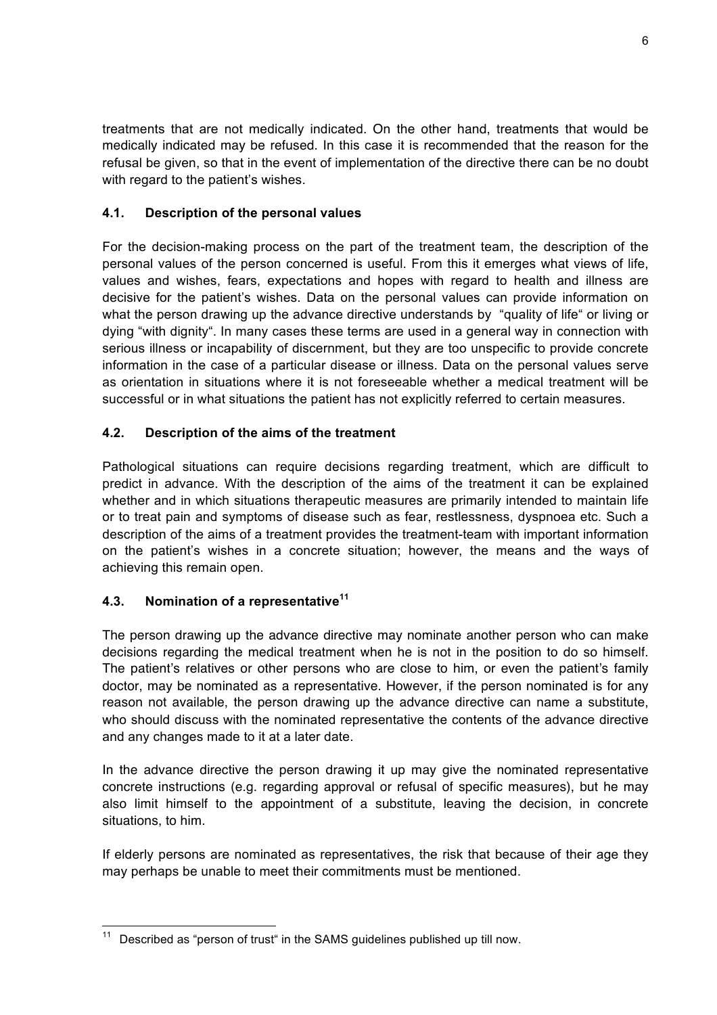treatments that are not medically indicated. On the other hand, treatments that would be medically indicated may be refused. In this case it is recommended that the reason for the refusal be given, so that in the event of implementation of the directive there can be no doubt with regard to the patient's wishes.

#### **4.1. Description of the personal values**

For the decision-making process on the part of the treatment team, the description of the personal values of the person concerned is useful. From this it emerges what views of life, values and wishes, fears, expectations and hopes with regard to health and illness are decisive for the patient's wishes. Data on the personal values can provide information on what the person drawing up the advance directive understands by "quality of life" or living or dying "with dignity". In many cases these terms are used in a general way in connection with serious illness or incapability of discernment, but they are too unspecific to provide concrete information in the case of a particular disease or illness. Data on the personal values serve as orientation in situations where it is not foreseeable whether a medical treatment will be successful or in what situations the patient has not explicitly referred to certain measures.

## **4.2. Description of the aims of the treatment**

Pathological situations can require decisions regarding treatment, which are difficult to predict in advance. With the description of the aims of the treatment it can be explained whether and in which situations therapeutic measures are primarily intended to maintain life or to treat pain and symptoms of disease such as fear, restlessness, dyspnoea etc. Such a description of the aims of a treatment provides the treatment-team with important information on the patient's wishes in a concrete situation; however, the means and the ways of achieving this remain open.

#### **4.3. Nomination of a representative<sup>11</sup>**

The person drawing up the advance directive may nominate another person who can make decisions regarding the medical treatment when he is not in the position to do so himself. The patient's relatives or other persons who are close to him, or even the patient's family doctor, may be nominated as a representative. However, if the person nominated is for any reason not available, the person drawing up the advance directive can name a substitute, who should discuss with the nominated representative the contents of the advance directive and any changes made to it at a later date.

In the advance directive the person drawing it up may give the nominated representative concrete instructions (e.g. regarding approval or refusal of specific measures), but he may also limit himself to the appointment of a substitute, leaving the decision, in concrete situations, to him.

If elderly persons are nominated as representatives, the risk that because of their age they may perhaps be unable to meet their commitments must be mentioned.

Described as "person of trust" in the SAMS guidelines published up till now.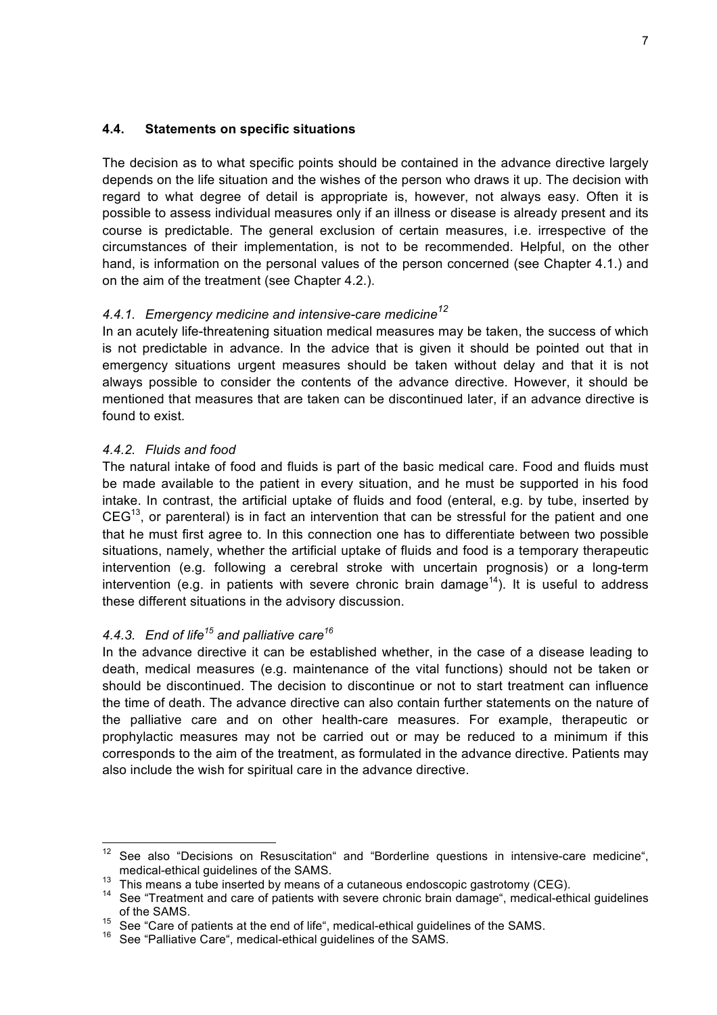#### **4.4. Statements on specific situations**

The decision as to what specific points should be contained in the advance directive largely depends on the life situation and the wishes of the person who draws it up. The decision with regard to what degree of detail is appropriate is, however, not always easy. Often it is possible to assess individual measures only if an illness or disease is already present and its course is predictable. The general exclusion of certain measures, i.e. irrespective of the circumstances of their implementation, is not to be recommended. Helpful, on the other hand, is information on the personal values of the person concerned (see Chapter 4.1.) and on the aim of the treatment (see Chapter 4.2.).

# *4.4.1. Emergency medicine and intensive-care medicine<sup>12</sup>*

In an acutely life-threatening situation medical measures may be taken, the success of which is not predictable in advance. In the advice that is given it should be pointed out that in emergency situations urgent measures should be taken without delay and that it is not always possible to consider the contents of the advance directive. However, it should be mentioned that measures that are taken can be discontinued later, if an advance directive is found to exist.

#### *4.4.2. Fluids and food*

The natural intake of food and fluids is part of the basic medical care. Food and fluids must be made available to the patient in every situation, and he must be supported in his food intake. In contrast, the artificial uptake of fluids and food (enteral, e.g. by tube, inserted by  $CEG<sup>13</sup>$ , or parenteral) is in fact an intervention that can be stressful for the patient and one that he must first agree to. In this connection one has to differentiate between two possible situations, namely, whether the artificial uptake of fluids and food is a temporary therapeutic intervention (e.g. following a cerebral stroke with uncertain prognosis) or a long-term intervention (e.g. in patients with severe chronic brain damage<sup>14</sup>). It is useful to address these different situations in the advisory discussion.

## *4.4.3. End of life<sup>15</sup> and palliative care<sup>16</sup>*

In the advance directive it can be established whether, in the case of a disease leading to death, medical measures (e.g. maintenance of the vital functions) should not be taken or should be discontinued. The decision to discontinue or not to start treatment can influence the time of death. The advance directive can also contain further statements on the nature of the palliative care and on other health-care measures. For example, therapeutic or prophylactic measures may not be carried out or may be reduced to a minimum if this corresponds to the aim of the treatment, as formulated in the advance directive. Patients may also include the wish for spiritual care in the advance directive.

 $12$  See also "Decisions on Resuscitation" and "Borderline questions in intensive-care medicine",

medical-ethical guidelines of the SAMS.<br><sup>13</sup> This means a tube inserted by means of a cutaneous endoscopic gastrotomy (CEG).<br><sup>14</sup> See "Treatment and care of patients with severe chronic brain damage", medical-ethical guide of the SAMS.

<sup>15</sup> See "Care of patients at the end of life", medical-ethical guidelines of the SAMS.<br><sup>16</sup> See "Palliative Care", medical-ethical guidelines of the SAMS.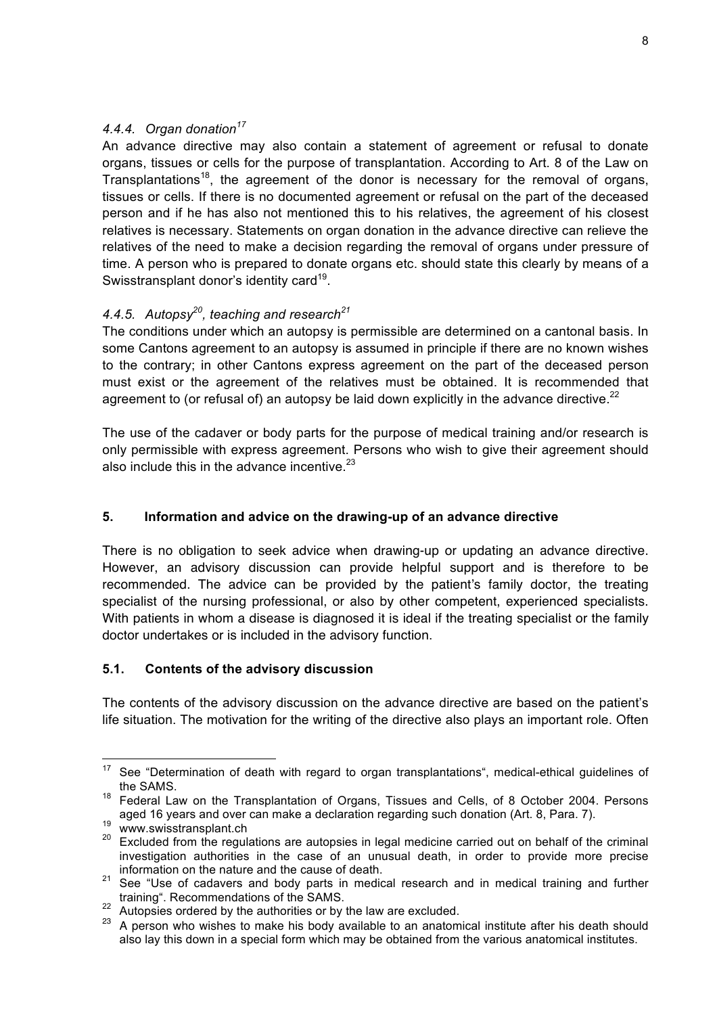#### *4.4.4. Organ donation<sup>17</sup>*

An advance directive may also contain a statement of agreement or refusal to donate organs, tissues or cells for the purpose of transplantation. According to Art. 8 of the Law on Transplantations<sup>18</sup>, the agreement of the donor is necessary for the removal of organs, tissues or cells. If there is no documented agreement or refusal on the part of the deceased person and if he has also not mentioned this to his relatives, the agreement of his closest relatives is necessary. Statements on organ donation in the advance directive can relieve the relatives of the need to make a decision regarding the removal of organs under pressure of time. A person who is prepared to donate organs etc. should state this clearly by means of a Swisstransplant donor's identity card<sup>19</sup>.

# *4.4.5. Autopsy20, teaching and research21*

The conditions under which an autopsy is permissible are determined on a cantonal basis. In some Cantons agreement to an autopsy is assumed in principle if there are no known wishes to the contrary; in other Cantons express agreement on the part of the deceased person must exist or the agreement of the relatives must be obtained. It is recommended that agreement to (or refusal of) an autopsy be laid down explicitly in the advance directive. $^{22}$ 

The use of the cadaver or body parts for the purpose of medical training and/or research is only permissible with express agreement. Persons who wish to give their agreement should also include this in the advance incentive. $23$ 

#### **5. Information and advice on the drawing-up of an advance directive**

There is no obligation to seek advice when drawing-up or updating an advance directive. However, an advisory discussion can provide helpful support and is therefore to be recommended. The advice can be provided by the patient's family doctor, the treating specialist of the nursing professional, or also by other competent, experienced specialists. With patients in whom a disease is diagnosed it is ideal if the treating specialist or the family doctor undertakes or is included in the advisory function.

#### **5.1. Contents of the advisory discussion**

The contents of the advisory discussion on the advance directive are based on the patient's life situation. The motivation for the writing of the directive also plays an important role. Often

<sup>&</sup>lt;sup>17</sup> See "Determination of death with regard to organ transplantations", medical-ethical guidelines of the SAMS.

<sup>18</sup> Federal Law on the Transplantation of Organs, Tissues and Cells, of 8 October 2004. Persons

aged 16 years and over can make a declaration regarding such donation (Art. 8, Para. 7).<br><sup>19</sup> www.swisstransplant.ch<br><sup>20</sup> Excluded from the regulations are autopsies in legal medicine carried out on behalf of the criminal investigation authorities in the case of an unusual death, in order to provide more precise information on the nature and the cause of death.

<sup>21</sup> See "Use of cadavers and body parts in medical research and in medical training and further training". Recommendations of the SAMS.

<sup>22</sup> Autopsies ordered by the authorities or by the law are excluded.

<sup>&</sup>lt;sup>23</sup> A person who wishes to make his body available to an anatomical institute after his death should also lay this down in a special form which may be obtained from the various anatomical institutes.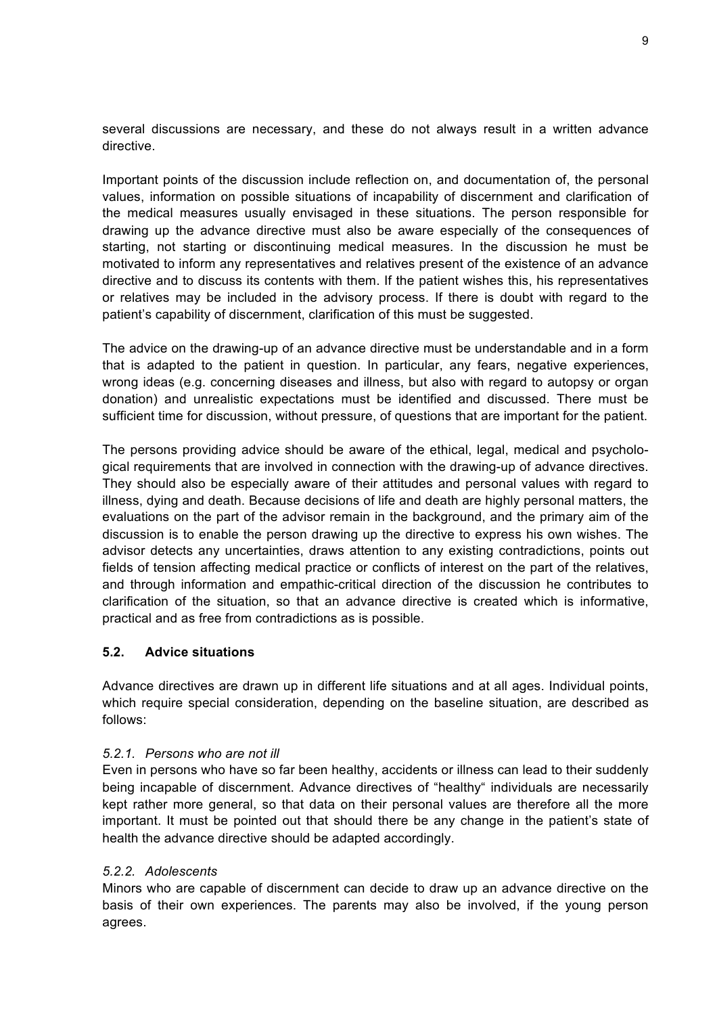several discussions are necessary, and these do not always result in a written advance directive.

Important points of the discussion include reflection on, and documentation of, the personal values, information on possible situations of incapability of discernment and clarification of the medical measures usually envisaged in these situations. The person responsible for drawing up the advance directive must also be aware especially of the consequences of starting, not starting or discontinuing medical measures. In the discussion he must be motivated to inform any representatives and relatives present of the existence of an advance directive and to discuss its contents with them. If the patient wishes this, his representatives or relatives may be included in the advisory process. If there is doubt with regard to the patient's capability of discernment, clarification of this must be suggested.

The advice on the drawing-up of an advance directive must be understandable and in a form that is adapted to the patient in question. In particular, any fears, negative experiences, wrong ideas (e.g. concerning diseases and illness, but also with regard to autopsy or organ donation) and unrealistic expectations must be identified and discussed. There must be sufficient time for discussion, without pressure, of questions that are important for the patient.

The persons providing advice should be aware of the ethical, legal, medical and psychological requirements that are involved in connection with the drawing-up of advance directives. They should also be especially aware of their attitudes and personal values with regard to illness, dying and death. Because decisions of life and death are highly personal matters, the evaluations on the part of the advisor remain in the background, and the primary aim of the discussion is to enable the person drawing up the directive to express his own wishes. The advisor detects any uncertainties, draws attention to any existing contradictions, points out fields of tension affecting medical practice or conflicts of interest on the part of the relatives, and through information and empathic-critical direction of the discussion he contributes to clarification of the situation, so that an advance directive is created which is informative, practical and as free from contradictions as is possible.

#### **5.2. Advice situations**

Advance directives are drawn up in different life situations and at all ages. Individual points, which require special consideration, depending on the baseline situation, are described as follows:

#### *5.2.1. Persons who are not ill*

Even in persons who have so far been healthy, accidents or illness can lead to their suddenly being incapable of discernment. Advance directives of "healthy" individuals are necessarily kept rather more general, so that data on their personal values are therefore all the more important. It must be pointed out that should there be any change in the patient's state of health the advance directive should be adapted accordingly.

#### *5.2.2. Adolescents*

Minors who are capable of discernment can decide to draw up an advance directive on the basis of their own experiences. The parents may also be involved, if the young person agrees.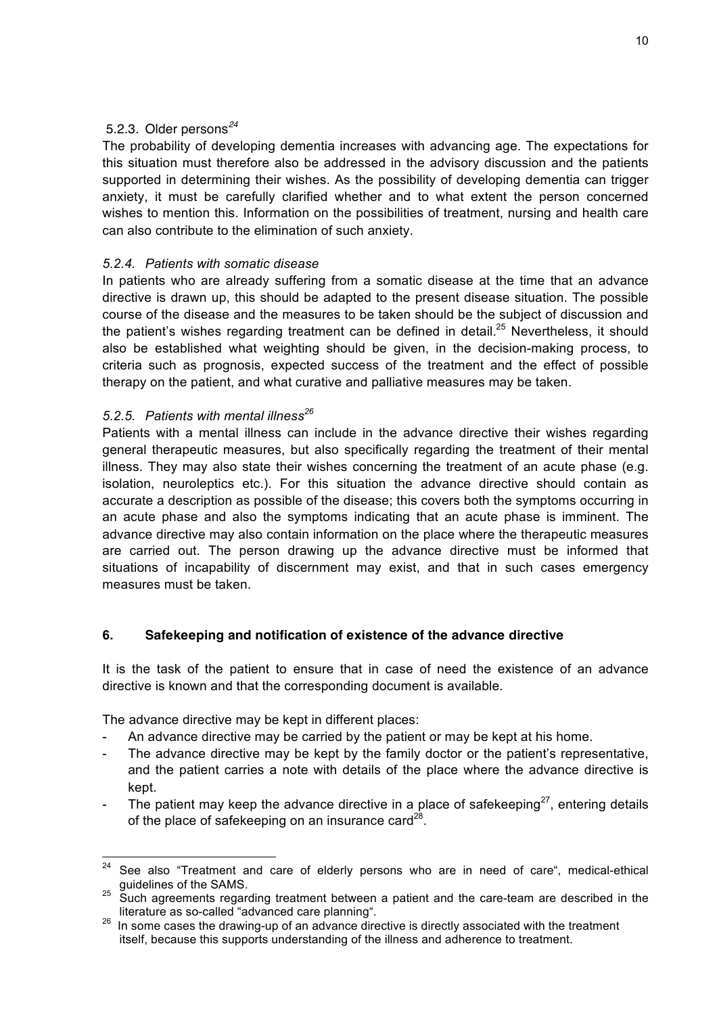# 5.2.3. Older persons*<sup>24</sup>*

The probability of developing dementia increases with advancing age. The expectations for this situation must therefore also be addressed in the advisory discussion and the patients supported in determining their wishes. As the possibility of developing dementia can trigger anxiety, it must be carefully clarified whether and to what extent the person concerned wishes to mention this. Information on the possibilities of treatment, nursing and health care can also contribute to the elimination of such anxiety.

#### *5.2.4. Patients with somatic disease*

In patients who are already suffering from a somatic disease at the time that an advance directive is drawn up, this should be adapted to the present disease situation. The possible course of the disease and the measures to be taken should be the subject of discussion and the patient's wishes regarding treatment can be defined in detail.<sup>25</sup> Nevertheless, it should also be established what weighting should be given, in the decision-making process, to criteria such as prognosis, expected success of the treatment and the effect of possible therapy on the patient, and what curative and palliative measures may be taken.

## *5.2.5. Patients with mental illness<sup>26</sup>*

Patients with a mental illness can include in the advance directive their wishes regarding general therapeutic measures, but also specifically regarding the treatment of their mental illness. They may also state their wishes concerning the treatment of an acute phase (e.g. isolation, neuroleptics etc.). For this situation the advance directive should contain as accurate a description as possible of the disease; this covers both the symptoms occurring in an acute phase and also the symptoms indicating that an acute phase is imminent. The advance directive may also contain information on the place where the therapeutic measures are carried out. The person drawing up the advance directive must be informed that situations of incapability of discernment may exist, and that in such cases emergency measures must be taken.

#### **6. Safekeeping and notification of existence of the advance directive**

It is the task of the patient to ensure that in case of need the existence of an advance directive is known and that the corresponding document is available.

The advance directive may be kept in different places:

- An advance directive may be carried by the patient or may be kept at his home.
- The advance directive may be kept by the family doctor or the patient's representative, and the patient carries a note with details of the place where the advance directive is kept.
- The patient may keep the advance directive in a place of safekeeping $27$ , entering details of the place of safekeeping on an insurance card $^{28}$ .

 $24$  See also "Treatment and care of elderly persons who are in need of care", medical-ethical guidelines of the SAMS.<br><sup>25</sup> Such agreements regarding treatment between a patient and the care-team are described in the

literature as so-called "advanced care planning". 26 In some cases the drawing-up of an advance directive is directly associated with the treatment itself, because this supports understanding of the illness and adherence to treatment.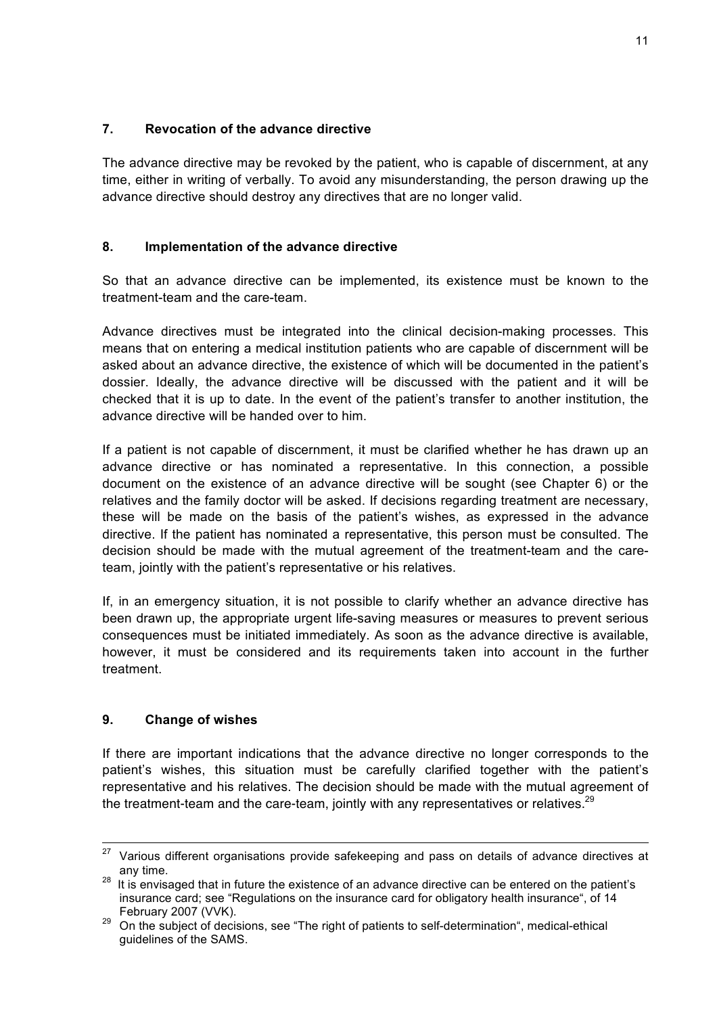#### **7. Revocation of the advance directive**

The advance directive may be revoked by the patient, who is capable of discernment, at any time, either in writing of verbally. To avoid any misunderstanding, the person drawing up the advance directive should destroy any directives that are no longer valid.

#### **8. Implementation of the advance directive**

So that an advance directive can be implemented, its existence must be known to the treatment-team and the care-team.

Advance directives must be integrated into the clinical decision-making processes. This means that on entering a medical institution patients who are capable of discernment will be asked about an advance directive, the existence of which will be documented in the patient's dossier. Ideally, the advance directive will be discussed with the patient and it will be checked that it is up to date. In the event of the patient's transfer to another institution, the advance directive will be handed over to him.

If a patient is not capable of discernment, it must be clarified whether he has drawn up an advance directive or has nominated a representative. In this connection, a possible document on the existence of an advance directive will be sought (see Chapter 6) or the relatives and the family doctor will be asked. If decisions regarding treatment are necessary, these will be made on the basis of the patient's wishes, as expressed in the advance directive. If the patient has nominated a representative, this person must be consulted. The decision should be made with the mutual agreement of the treatment-team and the careteam, jointly with the patient's representative or his relatives.

If, in an emergency situation, it is not possible to clarify whether an advance directive has been drawn up, the appropriate urgent life-saving measures or measures to prevent serious consequences must be initiated immediately. As soon as the advance directive is available, however, it must be considered and its requirements taken into account in the further treatment.

#### **9. Change of wishes**

If there are important indications that the advance directive no longer corresponds to the patient's wishes, this situation must be carefully clarified together with the patient's representative and his relatives. The decision should be made with the mutual agreement of the treatment-team and the care-team, jointly with any representatives or relatives.<sup>29</sup>

 $27$  Various different organisations provide safekeeping and pass on details of advance directives at

any time.<br><sup>28</sup> It is envisaged that in future the existence of an advance directive can be entered on the patient's insurance card; see "Regulations on the insurance card for obligatory health insurance", of 14

February 2007 (VVK). <sup>29</sup> On the subject of decisions, see "The right of patients to self-determination", medical-ethical guidelines of the SAMS.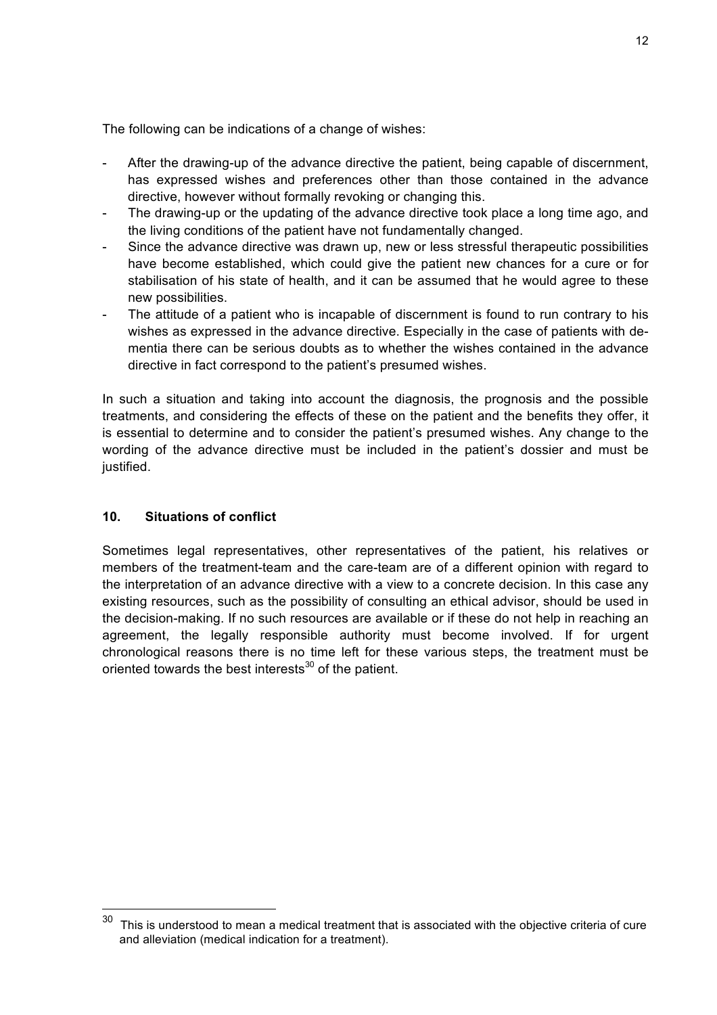The following can be indications of a change of wishes:

- After the drawing-up of the advance directive the patient, being capable of discernment, has expressed wishes and preferences other than those contained in the advance directive, however without formally revoking or changing this.
- The drawing-up or the updating of the advance directive took place a long time ago, and the living conditions of the patient have not fundamentally changed.
- Since the advance directive was drawn up, new or less stressful therapeutic possibilities have become established, which could give the patient new chances for a cure or for stabilisation of his state of health, and it can be assumed that he would agree to these new possibilities.
- The attitude of a patient who is incapable of discernment is found to run contrary to his wishes as expressed in the advance directive. Especially in the case of patients with dementia there can be serious doubts as to whether the wishes contained in the advance directive in fact correspond to the patient's presumed wishes.

In such a situation and taking into account the diagnosis, the prognosis and the possible treatments, and considering the effects of these on the patient and the benefits they offer, it is essential to determine and to consider the patient's presumed wishes. Any change to the wording of the advance directive must be included in the patient's dossier and must be justified.

#### **10. Situations of conflict**

Sometimes legal representatives, other representatives of the patient, his relatives or members of the treatment-team and the care-team are of a different opinion with regard to the interpretation of an advance directive with a view to a concrete decision. In this case any existing resources, such as the possibility of consulting an ethical advisor, should be used in the decision-making. If no such resources are available or if these do not help in reaching an agreement, the legally responsible authority must become involved. If for urgent chronological reasons there is no time left for these various steps, the treatment must be oriented towards the best interests $30$  of the patient.

 $30$  This is understood to mean a medical treatment that is associated with the objective criteria of cure and alleviation (medical indication for a treatment).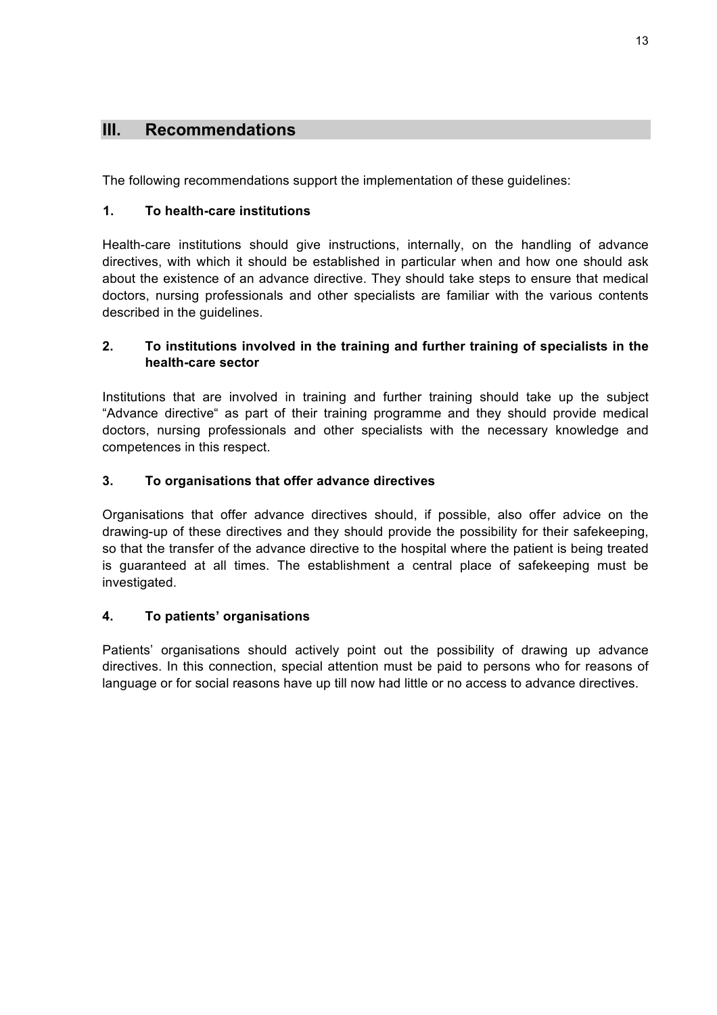# **III. Recommendations**

The following recommendations support the implementation of these guidelines:

# **1. To health-care institutions**

Health-care institutions should give instructions, internally, on the handling of advance directives, with which it should be established in particular when and how one should ask about the existence of an advance directive. They should take steps to ensure that medical doctors, nursing professionals and other specialists are familiar with the various contents described in the guidelines.

## **2. To institutions involved in the training and further training of specialists in the health-care sector**

Institutions that are involved in training and further training should take up the subject "Advance directive" as part of their training programme and they should provide medical doctors, nursing professionals and other specialists with the necessary knowledge and competences in this respect.

# **3. To organisations that offer advance directives**

Organisations that offer advance directives should, if possible, also offer advice on the drawing-up of these directives and they should provide the possibility for their safekeeping, so that the transfer of the advance directive to the hospital where the patient is being treated is guaranteed at all times. The establishment a central place of safekeeping must be investigated.

# **4. To patients' organisations**

Patients' organisations should actively point out the possibility of drawing up advance directives. In this connection, special attention must be paid to persons who for reasons of language or for social reasons have up till now had little or no access to advance directives.